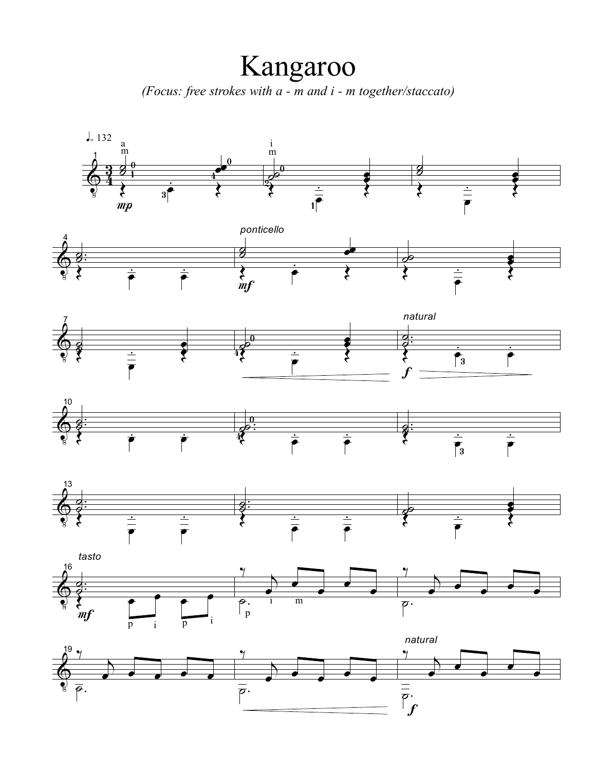Kangaroo

*(Focus: free strokes with a - m and i - m together/staccato)*